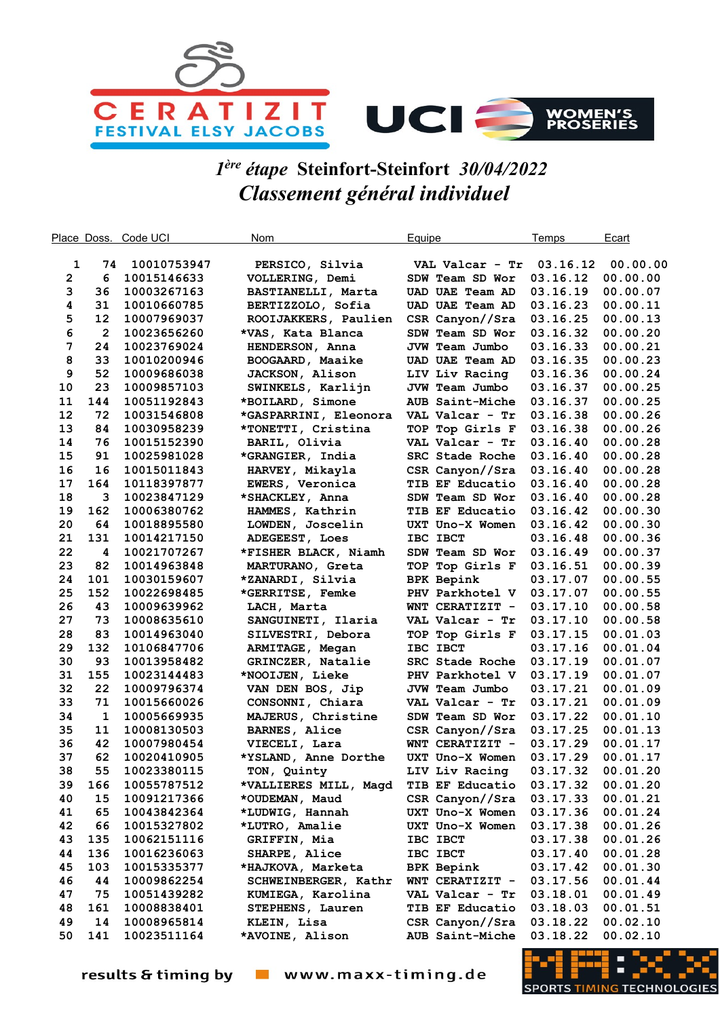

## 1 ère étape Steinfort-Steinfort 30/04/2022 Classement général individuel

| Place Doss.  |                         | Code UCI                   | Nom                             | Equipe                             | Temps                | Ecart                |
|--------------|-------------------------|----------------------------|---------------------------------|------------------------------------|----------------------|----------------------|
|              |                         |                            |                                 |                                    |                      |                      |
| 1            | 74                      | 10010753947                | PERSICO, Silvia                 | VAL Valcar - Tr                    | 03.16.12             | 00.00.00             |
| $\mathbf{2}$ | 6                       | 10015146633                | VOLLERING, Demi                 | SDW Team SD Wor                    | 03.16.12             | 00.00.00             |
| 3            | 36                      | 10003267163                | BASTIANELLI, Marta              | <b>UAD UAE Team AD</b>             | 03.16.19             | 00.00.07             |
| 4            | 31                      | 10010660785                | BERTIZZOLO, Sofia               | UAD UAE Team AD                    | 03.16.23             | 00.00.11             |
| 5            | 12                      | 10007969037                | ROOIJAKKERS, Paulien            | CSR Canyon//Sra                    | 03.16.25             | 00.00.13             |
| 6            | $\overline{\mathbf{c}}$ | 10023656260                | *VAS, Kata Blanca               | SDW Team SD Wor                    | 03.16.32             | 00.00.20             |
| 7            | 24                      | 10023769024                | HENDERSON, Anna                 | JVW Team Jumbo                     | 03.16.33             | 00.00.21             |
| 8            | 33                      | 10010200946                | BOOGAARD, Maaike                | <b>UAD UAE Team AD</b>             | 03.16.35             | 00.00.23             |
| 9            | 52                      | 10009686038                | <b>JACKSON, Alison</b>          | LIV Liv Racing                     | 03.16.36             | 00.00.24             |
| 10           | 23                      | 10009857103                | SWINKELS, Karlijn               | JVW Team Jumbo                     | 03.16.37             | 00.00.25             |
| 11           | 144                     | 10051192843                | *BOILARD, Simone                | AUB Saint-Miche                    | 03.16.37             | 00.00.25             |
| 12           | 72                      | 10031546808                | *GASPARRINI, Eleonora           | VAL Valcar - Tr                    | 03.16.38             | 00.00.26             |
| 13           | 84                      | 10030958239                | *TONETTI, Cristina              | TOP Top Girls F                    | 03.16.38             | 00.00.26             |
| 14           | 76                      | 10015152390                | BARIL, Olivia                   | VAL Valcar - Tr                    | 03.16.40             | 00.00.28             |
| 15           | 91                      | 10025981028                | *GRANGIER, India                | SRC Stade Roche                    | 03.16.40             | 00.00.28             |
| 16           | 16                      | 10015011843                | HARVEY, Mikayla                 | CSR Canyon//Sra                    | 03.16.40             | 00.00.28             |
| 17           | 164                     | 10118397877                | EWERS, Veronica                 | TIB EF Educatio                    | 03.16.40             | 00.00.28             |
| 18           | 3                       | 10023847129                | *SHACKLEY, Anna                 | SDW Team SD Wor                    | 03.16.40             | 00.00.28             |
| 19           | 162                     | 10006380762                | HAMMES, Kathrin                 | TIB EF Educatio                    | 03.16.42             | 00.00.30             |
| 20           | 64                      | 10018895580                | LOWDEN, Joscelin                | UXT Uno-X Women                    | 03.16.42             | 00.00.30             |
| 21           | 131                     | 10014217150                | ADEGEEST, Loes                  | IBC IBCT                           | 03.16.48             | 00.00.36             |
| 22           | 4                       | 10021707267                | *FISHER BLACK, Niamh            | SDW Team SD Wor                    | 03.16.49             | 00.00.37             |
| 23           | 82                      | 10014963848                | MARTURANO, Greta                | TOP Top Girls F                    | 03.16.51             | 00.00.39             |
| 24           | 101                     | 10030159607                | *ZANARDI, Silvia                | <b>BPK Bepink</b>                  | 03.17.07             | 00.00.55             |
| 25           | 152                     | 10022698485                | *GERRITSE, Femke                | PHV Parkhotel V                    | 03.17.07             | 00.00.55             |
| 26           | 43                      | 10009639962                | LACH, Marta                     | WNT CERATIZIT -                    | 03.17.10             | 00.00.58             |
| 27           | 73                      | 10008635610                | SANGUINETI, Ilaria              | VAL Valcar - Tr                    | 03.17.10             | 00.00.58             |
| 28           | 83                      | 10014963040                | SILVESTRI, Debora               | TOP Top Girls F                    | 03.17.15             | 00.01.03             |
| 29           | 132                     | 10106847706                | ARMITAGE, Megan                 | IBC IBCT                           | 03.17.16             | 00.01.04             |
| 30           | 93                      | 10013958482                | GRINCZER, Natalie               | SRC Stade Roche                    | 03.17.19             | 00.01.07             |
| 31           | 155                     | 10023144483                | *NOOIJEN, Lieke                 | PHV Parkhotel V                    | 03.17.19             | 00.01.07             |
| 32           | 22                      | 10009796374                | VAN DEN BOS, Jip                | JVW Team Jumbo                     | 03.17.21             | 00.01.09             |
| 33           | 71                      | 10015660026                | CONSONNI, Chiara                | VAL Valcar - Tr                    | 03.17.21             | 00.01.09             |
| 34           | 1                       | 10005669935                | MAJERUS, Christine              | SDW Team SD Wor                    | 03.17.22             | 00.01.10             |
| 35           | 11                      | 10008130503                | <b>BARNES, Alice</b>            | CSR Canyon//Sra                    | 03.17.25             | 00.01.13             |
| 36           | 42                      | 10007980454                | VIECELI, Lara                   | WNT CERATIZIT -                    | 03.17.29             | 00.01.17             |
| 37           | 62                      | 10020410905                | *YSLAND, Anne Dorthe            | UXT Uno-X Women                    | 03.17.29             | 00.01.17             |
| 38           | 55                      | 10023380115                | TON, Quinty                     | LIV Liv Racing                     | 03.17.32             | 00.01.20             |
| 39           | 166                     | 10055787512                | *VALLIERES MILL, Magd           | TIB EF Educatio                    | 03.17.32             | 00.01.20             |
| 40           | 15                      | 10091217366                | *OUDEMAN, Maud                  | CSR Canyon//Sra                    | 03.17.33             | 00.01.21             |
| 41           | 65                      | 10043842364                | *LUDWIG, Hannah                 | UXT Uno-X Women                    | 03.17.36             | 00.01.24             |
| 42           | 66                      | 10015327802                | *LUTRO, Amalie                  | UXT Uno-X Women                    | 03.17.38             | 00.01.26             |
| 43           | 135                     | 10062151116                | GRIFFIN, Mia                    | IBC IBCT                           | 03.17.38             | 00.01.26             |
| 44           | 136                     | 10016236063                | SHARPE, Alice                   | IBC IBCT                           | 03.17.40             | 00.01.28             |
| 45<br>46     | 103                     | 10015335377<br>10009862254 | *HAJKOVA, Marketa               | <b>BPK Bepink</b>                  | 03.17.42             | 00.01.30             |
|              | 44<br>75                | 10051439282                | SCHWEINBERGER, Kathr            | WNT CERATIZIT -                    | 03.17.56             | 00.01.44             |
| 47<br>48     | 161                     |                            | KUMIEGA, Karolina               | VAL Valcar - Tr<br>TIB EF Educatio | 03.18.01             | 00.01.49             |
| 49           | 14                      | 10008838401<br>10008965814 | STEPHENS, Lauren<br>KLEIN, Lisa | CSR Canyon//Sra                    | 03.18.03<br>03.18.22 | 00.01.51<br>00.02.10 |
| 50           | 141                     | 10023511164                | *AVOINE, Alison                 | AUB Saint-Miche                    | 03.18.22             | 00.02.10             |
|              |                         |                            |                                 |                                    |                      |                      |

results & timing by vww.maxx-timing.de